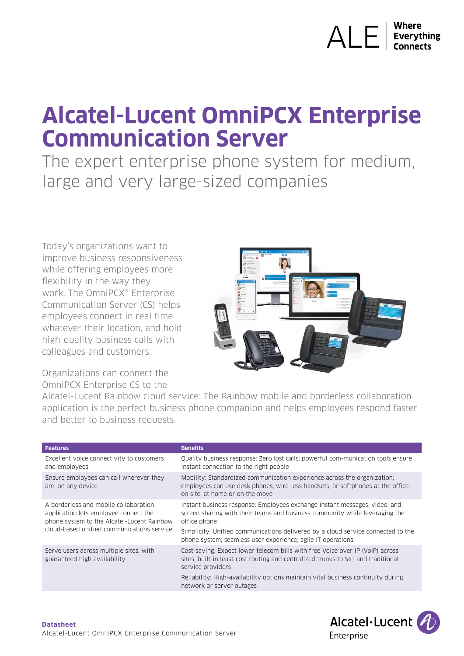# ALE **Everything**

# **Alcatel-Lucent OmniPCX Enterprise Communication Server**

The expert enterprise phone system for medium, large and very large-sized companies

Today's organizations want to improve business responsiveness while offering employees more flexibility in the way they work. The OmniPCX® Enterprise Communication Server (CS) helps employees connect in real time whatever their location, and hold high-quality business calls with colleagues and customers.

Organizations can connect the OmniPCX Enterprise CS to the



Alcatel-Lucent Rainbow cloud service: The Rainbow mobile and borderless collaboration application is the perfect business phone companion and helps employees respond faster and better to business requests.

| <b>Features</b>                                                                                                                                                            | <b>Benefits</b>                                                                                                                                                                                |
|----------------------------------------------------------------------------------------------------------------------------------------------------------------------------|------------------------------------------------------------------------------------------------------------------------------------------------------------------------------------------------|
| Excellent voice connectivity to customers<br>and employees                                                                                                                 | Quality business response: Zero lost calls; powerful com-munication tools ensure<br>instant connection to the right people                                                                     |
| Ensure employees can call wherever they<br>are, on any device                                                                                                              | Mobility: Standardized communication experience across the organization;<br>employees can use desk phones, wire-less handsets, or softphones at the office,<br>on site, at home or on the move |
| A borderless and mobile collaboration<br>application lets employee connect the<br>phone system to the Alcatel-Lucent Rainbow<br>cloud-based unified communications service | Instant business response: Employees exchange instant messages, video, and<br>screen sharing with their teams and business community while leveraging the<br>office phone                      |
|                                                                                                                                                                            | Simplicity: Unified communications delivered by a cloud service connected to the<br>phone system; seamless user experience; agile IT operations                                                |
| Serve users across multiple sites, with<br>guaranteed high availability                                                                                                    | Cost-saving: Expect lower telecom bills with free Voice over IP (VoIP) across<br>sites, built-in least-cost routing and centralized trunks to SIP, and traditional<br>service providers        |
|                                                                                                                                                                            | Reliability: High-availability options maintain vital business continuity during<br>network or server outages                                                                                  |

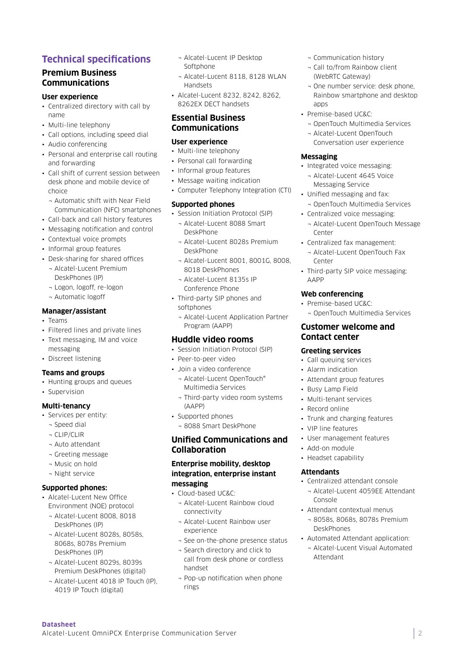# **Technical specifications**

# **Premium Business Communications**

#### **User experience**

- Centralized directory with call by name
- Multi-line telephony
- Call options, including speed dial
- Audio conferencing
- Personal and enterprise call routing and forwarding
- Call shift of current session between desk phone and mobile device of choice
	- ¬ Automatic shift with Near Field Communication (NFC) smartphones
- Call-back and call history features
- Messaging notification and control
- Contextual voice prompts
- Informal group features
- Desk-sharing for shared offices
	- ¬ Alcatel-Lucent Premium DeskPhones (IP)
	- ¬ Logon, logoff, re-logon
	- ¬ Automatic logoff

#### **Manager/assistant**

- Teams
- Filtered lines and private lines
- Text messaging, IM and voice messaging
- Discreet listening

#### **Teams and groups**

- Hunting groups and queues
- Supervision

#### **Multi-tenancy**

- Services per entity:
	- ¬ Speed dial
	- ¬ CLIP/CLIR
	- ¬ Auto attendant
	- ¬ Greeting message
	- ¬ Music on hold
	- ¬ Night service

#### **Supported phones:**

**Datasheet** 

- Alcatel-Lucent New Office Environment (NOE) protocol
	- ¬ Alcatel-Lucent 8008, 8018 DeskPhones (IP)
	- ¬ Alcatel-Lucent 8028s, 8058s, 8068s, 8078s Premium DeskPhones (IP)
	- ¬ Alcatel-Lucent 8029s, 8039s Premium DeskPhones (digital)
	- ¬ Alcatel-Lucent 4018 IP Touch (IP), 4019 IP Touch (digital)

Alcatel-Lucent OmniPCX Enterprise Communication Server

- ¬ Alcatel-Lucent IP Desktop Softphone
- ¬ Alcatel-Lucent 8118, 8128 WLAN Handsets
- Alcatel-Lucent 8232, 8242, 8262, 8262EX DECT handsets

#### **Essential Business Communications**

#### **User experience**

- Multi-line telephony
- Personal call forwarding
- Informal group features
- Message waiting indication
- Computer Telephony Integration (CTI)

#### **Supported phones**

- Session Initiation Protocol (SIP) ¬ Alcatel-Lucent 8088 Smart
	- DeskPhone
	- ¬ Alcatel-Lucent 8028s Premium DeskPhone
	- ¬ Alcatel-Lucent 8001, 8001G, 8008, 8018 DeskPhones
	- ¬ Alcatel-Lucent 8135s IP Conference Phone
- Third-party SIP phones and softphones
	- ¬ Alcatel-Lucent Application Partner Program (AAPP)

#### **Huddle video rooms**

- Session Initiation Protocol (SIP)
- Peer-to-peer video
- Join a video conference
	- ¬ Alcatel-Lucent OpenTouch® Multimedia Services
	- ¬ Third-party video room systems (AAPP)
- Supported phones
	- ¬ 8088 Smart DeskPhone

#### **Unified Communications and Collaboration**

#### **Enterprise mobility, desktop integration, enterprise instant messaging**

- Cloud-based UC&C:
	- ¬ Alcatel-Lucent Rainbow cloud connectivity
	- ¬ Alcatel-Lucent Rainbow user experience
	- ¬ See on-the-phone presence status
	- ¬ Search directory and click to call from desk phone or cordless handset
	- ¬ Pop-up notification when phone rings
- ¬ Communication history
- ¬ Call to/from Rainbow client (WebRTC Gateway)
- ¬ One number service: desk phone, Rainbow smartphone and desktop anns
- Premise-based UC&C:
	- ¬ OpenTouch Multimedia Services
	- ¬ Alcatel-Lucent OpenTouch Conversation user experience

#### **Messaging**

- Integrated voice messaging:
- ¬ Alcatel-Lucent 4645 Voice Messaging Service
- Unified messaging and fax: ¬ OpenTouch Multimedia Services
- Centralized voice messaging:
	- ¬ Alcatel-Lucent OpenTouch Message Center
- Centralized fax management:
- ¬ Alcatel-Lucent OpenTouch Fax Center
- Third-party SIP voice messaging: AAPP

#### **Web conferencing**

• Premise-based UC&C: ¬ OpenTouch Multimedia Services

#### **Customer welcome and Contact center**

#### **Greeting services**

- Call queuing services
- Alarm indication
- Attendant group features
- Busy Lamp Field

• VIP line features

• Add-on module • Headset capability

**Attendants** 

Console

DeskPhones

Attendant

- Multi-tenant services
- Record online
- Trunk and charging features

• User management features

• Centralized attendant console ¬ Alcatel-Lucent 4059EE Attendant

• Attendant contextual menus ¬ 8058s, 8068s, 8078s Premium

• Automated Attendant application: ¬ Alcatel-Lucent Visual Automated

2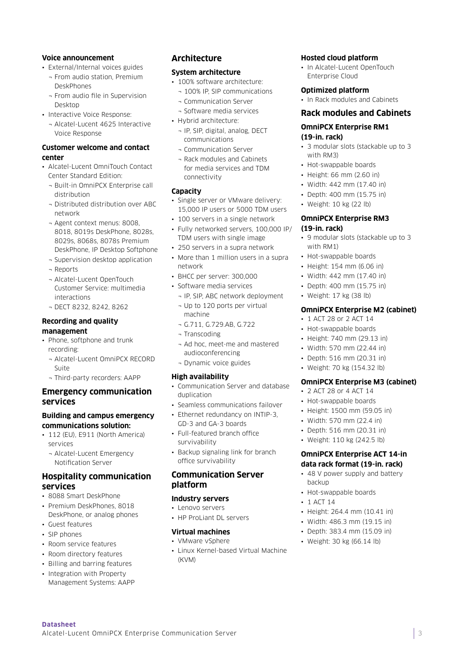#### **Voice announcement**

- External/Internal voices guides
	- ¬ From audio station, Premium DeskPhones
	- ¬ From audio file in Supervision Desktop
- Interactive Voice Response:
	- ¬ Alcatel-Lucent 4625 Interactive Voice Response

#### **Customer welcome and contact center**

- Alcatel-Lucent OmniTouch Contact Center Standard Edition:
	- ¬ Built-in OmniPCX Enterprise call distribution
	- ¬ Distributed distribution over ABC network
	- ¬ Agent context menus: 8008, 8018, 8019s DeskPhone, 8028s, 8029s, 8068s, 8078s Premium DeskPhone, IP Desktop Softphone
	- ¬ Supervision desktop application
	- ¬ Reports
	- ¬ Alcatel-Lucent OpenTouch Customer Service: multimedia interactions
	- ¬ DECT 8232, 8242, 8262

#### **Recording and quality management**

- Phone, softphone and trunk recording:
	- ¬ Alcatel-Lucent OmniPCX RECORD Suite
	- ¬ Third-party recorders: AAPP

#### **Emergency communication services**

#### **Building and campus emergency communications solution:**

- 112 (EU), E911 (North America) services
	- ¬ Alcatel-Lucent Emergency Notification Server

#### **Hospitality communication services**

- 8088 Smart DeskPhone
- Premium DeskPhones, 8018 DeskPhone, or analog phones
- Guest features
- SIP phones

**Datasheet** 

- Room service features
- Room directory features
- Billing and barring features
- Integration with Property Management Systems: AAPP

Alcatel-Lucent OmniPCX Enterprise Communication Server

### **Architecture**

#### **System architecture**

- 100% software architecture:
- ¬ 100% IP, SIP communications
- ¬ Communication Server
- ¬ Software media services
- Hybrid architecture:
	- ¬ IP, SIP, digital, analog, DECT communications
	- ¬ Communication Server
	- ¬ Rack modules and Cabinets for media services and TDM connectivity

#### **Capacity**

- Single server or VMware delivery: 15,000 IP users or 5000 TDM users
- 100 servers in a single network
- Fully networked servers, 100,000 IP/ TDM users with single image
- 250 servers in a supra network
- More than 1 million users in a supra network
- BHCC per server: 300,000
- Software media services
	- ¬ IP, SIP, ABC network deployment ¬ Up to 120 ports per virtual
	- machine
	- ¬ G.711, G.729.AB, G.722
	- ¬ Transcoding
	- ¬ Ad hoc, meet-me and mastered audioconferencing
	- ¬ Dynamic voice guides

#### **High availability**

- Communication Server and database duplication
- Seamless communications failover
- Ethernet redundancy on INTIP-3, GD-3 and GA-3 boards
- Full-featured branch office survivability
- Backup signaling link for branch office survivability

#### **Communication Server platform**

#### **Industry servers**

- Lenovo servers
- HP ProLiant DL servers

#### **Virtual machines**  • VMware vSphere

• Linux Kernel-based Virtual Machine (KVM)

#### **Hosted cloud platform**

• In Alcatel-Lucent OpenTouch Enterprise Cloud

#### **Optimized platform**

• In Rack modules and Cabinets

#### **Rack modules and Cabinets**

#### **OmniPCX Enterprise RM1 (19-in. rack)**

- 3 modular slots (stackable up to 3 with RM3)
- Hot-swappable boards
- Height: 66 mm (2.60 in)
- Width: 442 mm (17.40 in)
- Depth: 400 mm (15.75 in)
- Weight: 10 kg (22 lb)

#### **OmniPCX Enterprise RM3 (19-in. rack)**

- 9 modular slots (stackable up to 3 with RM1)
- Hot-swappable boards
- Height: 154 mm (6.06 in)
- Width: 442 mm (17.40 in)
- Depth: 400 mm (15.75 in)
- Weight: 17 kg (38 lb)

#### **OmniPCX Enterprise M2 (cabinet)**

- 1 ACT 28 or 2 ACT 14
- Hot-swappable boards
- Height: 740 mm (29.13 in)
- Width: 570 mm (22.44 in)
- Depth: 516 mm (20.31 in)
- Weight: 70 kg (154.32 lb)

#### **OmniPCX Enterprise M3 (cabinet)**

3

- 2 ACT 28 or 4 ACT 14
- Hot-swappable boards

backup

• 1 ACT 14

• Height: 1500 mm (59.05 in)

**OmniPCX Enterprise ACT 14-in data rack format (19-in. rack)**  • 48 V power supply and battery

- Width: 570 mm (22.4 in)
- Depth: 516 mm (20.31 in) • Weight: 110 kg (242.5 lb)

• Hot-swappable boards

• Height: 264.4 mm (10.41 in) • Width: 486.3 mm (19.15 in) • Depth: 383.4 mm (15.09 in) • Weight: 30 kg (66.14 lb)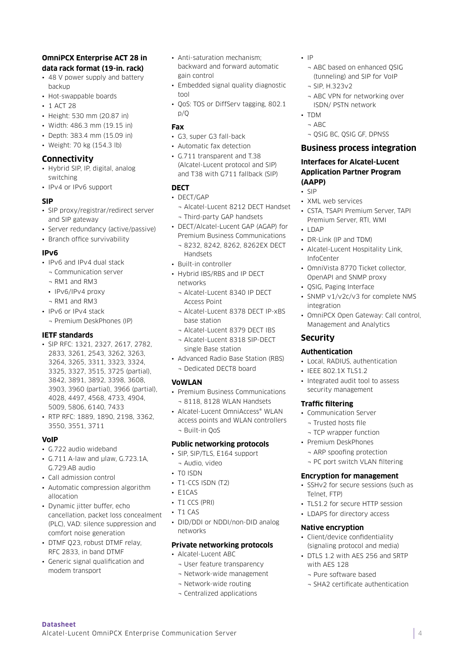#### **OmniPCX Enterprise ACT 28 in data rack format (19-in. rack)**

- 48 V power supply and battery backup
- Hot-swappable boards
- 1 ACT 28
- Height: 530 mm (20.87 in)
- Width: 486.3 mm (19.15 in)
- Depth: 383.4 mm (15.09 in)
- Weight: 70 kg (154.3 lb)

# **Connectivity**

- Hybrid SIP, IP, digital, analog switching
- IPv4 or IPv6 support

#### **SIP**

- SIP proxy/registrar/redirect server and SIP gateway
- Server redundancy (active/passive)
- Branch office survivability

#### **IPv6**

- IPv6 and IPv4 dual stack
	- ¬ Communication server
	- ¬ RM1 and RM3
	- IPv6/IPv4 proxy
	- ¬ RM1 and RM3
- IPv6 or IPv4 stack
	- ¬ Premium DeskPhones (IP)

#### **IETF standards**

- SIP RFC: 1321, 2327, 2617, 2782, 2833, 3261, 2543, 3262, 3263, 3264, 3265, 3311, 3323, 3324, 3325, 3327, 3515, 3725 (partial), 3842, 3891, 3892, 3398, 3608, 3903, 3960 (partial), 3966 (partial), 4028, 4497, 4568, 4733, 4904, 5009, 5806, 6140, 7433
- RTP RFC: 1889, 1890, 2198, 3362, 3550, 3551, 3711

#### **VoIP**

**Datasheet** 

- G.722 audio wideband
- G.711 A-law and µlaw, G.723.1A, G.729.AB audio
- Call admission control
- Automatic compression algorithm allocation
- Dynamic jitter buffer, echo cancellation, packet loss concealment (PLC), VAD: silence suppression and comfort noise generation
- DTMF 023, robust DTMF relay RFC 2833, in band DTMF
- Generic signal qualification and modem transport

Alcatel-Lucent OmniPCX Enterprise Communication Server

- Anti-saturation mechanism; backward and forward automatic gain control
- Embedded signal quality diagnostic tool
- QoS: TOS or DiffServ tagging, 802.1 p/Q

#### **Fax**

- G3, super G3 fall-back
- Automatic fax detection • G.711 transparent and T.38 (Alcatel-Lucent protocol and SIP) and T38 with G711 fallback (SIP)

#### **DECT**

- DECT/GAP
	- ¬ Alcatel-Lucent 8212 DECT Handset ¬ Third-party GAP handsets
- DECT/Alcatel-Lucent GAP (AGAP) for Premium Business Communications
	- ¬ 8232, 8242, 8262, 8262EX DECT Handsets
- Built-in controller
- Hybrid IBS/RBS and IP DECT networks
	- ¬ Alcatel-Lucent 8340 IP DECT Access Point
	- ¬ Alcatel-Lucent 8378 DECT IP-xBS base station
	- ¬ Alcatel-Lucent 8379 DECT IBS
	- ¬ Alcatel-Lucent 8318 SIP-DECT single Base station
- Advanced Radio Base Station (RBS) ¬ Dedicated DECT8 board

#### **VoWLAN**

- Premium Business Communications ¬ 8118, 8128 WLAN Handsets
- Alcatel-Lucent OmniAccess® WLAN access points and WLAN controllers ¬ Built-in QoS

#### **Public networking protocols**

- SIP, SIP/TLS, E164 support ¬ Audio, video
- T0 ISDN
- T1-CCS ISDN (T2)
- E1CAS
- T1 CCS (PRI)
- T1 CAS
- DID/DDI or NDDI/non-DID analog networks

#### **Private networking protocols**

- Alcatel-Lucent ABC
	- ¬ User feature transparency
	- ¬ Network-wide management
	- ¬ Network-wide routing ¬ Centralized applications
- IP
	- ¬ ABC based on enhanced QSIG (tunneling) and SIP for VoIP
	- ¬ SIP, H.323v2
	- ¬ ABC VPN for networking over ISDN/ PSTN network
- TDM
	- ¬ ABC
	- ¬ QSIG BC, QSIG GF, DPNSS

#### **Business process integration**

#### **Interfaces for Alcatel-Lucent Application Partner Program (AAPP)**

- SIP
- XML web services
- CSTA, TSAPI Premium Server, TAPI Premium Server, RTI, WMI
- $-$  LDAP
- DR-Link (IP and TDM)
- Alcatel-Lucent Hospitality Link, InfoCenter
- OmniVista 8770 Ticket collector, OpenAPI and SNMP proxy
- QSIG, Paging Interface
- SNMP v1/v2c/v3 for complete NMS integration
- OmniPCX Open Gateway: Call control, Management and Analytics

#### **Security**

#### **Authentication**

- Local, RADIUS, authentication
- IEEE 802.1X TLS1.2
- Integrated audit tool to assess security management

#### **Traffic filtering**

Telnet, FTP)

**Native encryption**

with AES 128

- Communication Server
	- ¬ Trusted hosts file
	- ¬ TCP wrapper function
- Premium DeskPhones
- ¬ ARP spoofing protection
- ¬ PC port switch VLAN filtering

• SSHv2 for secure sessions (such as

4

#### **Encryption for management**

• TLS1.2 for secure HTTP session • LDAPS for directory access

• Client/device confidentiality (signaling protocol and media) • DTLS 1.2 with AES 256 and SRTP

¬ Pure software based

¬ SHA2 certificate authentication